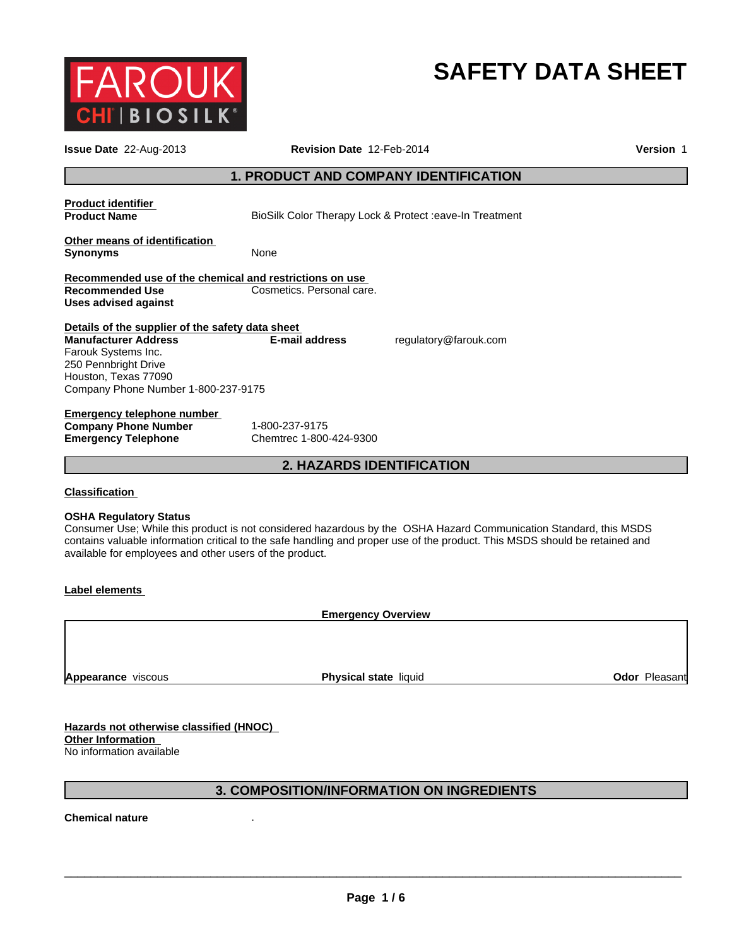

# **SAFETY DATA SHEET**

| Issue Date 22-Aug-2013                                                                                                                                                                        | Revision Date 12-Feb-2014                                                                                                                                                                                                                        | Version 1     |
|-----------------------------------------------------------------------------------------------------------------------------------------------------------------------------------------------|--------------------------------------------------------------------------------------------------------------------------------------------------------------------------------------------------------------------------------------------------|---------------|
|                                                                                                                                                                                               | 1. PRODUCT AND COMPANY IDENTIFICATION                                                                                                                                                                                                            |               |
| <b>Product identifier</b><br><b>Product Name</b>                                                                                                                                              | BioSilk Color Therapy Lock & Protect :eave-In Treatment                                                                                                                                                                                          |               |
| Other means of identification<br><b>Synonyms</b>                                                                                                                                              | None                                                                                                                                                                                                                                             |               |
| Recommended use of the chemical and restrictions on use<br><b>Recommended Use</b><br><b>Uses advised against</b>                                                                              | Cosmetics. Personal care.                                                                                                                                                                                                                        |               |
| Details of the supplier of the safety data sheet<br><b>Manufacturer Address</b><br>Farouk Systems Inc.<br>250 Pennbright Drive<br>Houston, Texas 77090<br>Company Phone Number 1-800-237-9175 | regulatory@farouk.com<br><b>E-mail address</b>                                                                                                                                                                                                   |               |
| <b>Emergency telephone number</b><br><b>Company Phone Number</b><br><b>Emergency Telephone</b>                                                                                                | 1-800-237-9175<br>Chemtrec 1-800-424-9300                                                                                                                                                                                                        |               |
|                                                                                                                                                                                               | 2. HAZARDS IDENTIFICATION                                                                                                                                                                                                                        |               |
| <b>Classification</b><br><b>OSHA Regulatory Status</b><br>available for employees and other users of the product.                                                                             | Consumer Use; While this product is not considered hazardous by the OSHA Hazard Communication Standard, this MSDS<br>contains valuable information critical to the safe handling and proper use of the product. This MSDS should be retained and |               |
| <b>Label elements</b>                                                                                                                                                                         |                                                                                                                                                                                                                                                  |               |
|                                                                                                                                                                                               | <b>Emergency Overview</b>                                                                                                                                                                                                                        |               |
| <b>Appearance</b> viscous                                                                                                                                                                     | <b>Physical state liquid</b>                                                                                                                                                                                                                     | Odor Pleasant |
| Hazards not otherwise classified (HNOC)                                                                                                                                                       |                                                                                                                                                                                                                                                  |               |

**Other Information**  No information available

# **3. COMPOSITION/INFORMATION ON INGREDIENTS**

**Chemical nature** .

 $\overline{\phantom{a}}$  ,  $\overline{\phantom{a}}$  ,  $\overline{\phantom{a}}$  ,  $\overline{\phantom{a}}$  ,  $\overline{\phantom{a}}$  ,  $\overline{\phantom{a}}$  ,  $\overline{\phantom{a}}$  ,  $\overline{\phantom{a}}$  ,  $\overline{\phantom{a}}$  ,  $\overline{\phantom{a}}$  ,  $\overline{\phantom{a}}$  ,  $\overline{\phantom{a}}$  ,  $\overline{\phantom{a}}$  ,  $\overline{\phantom{a}}$  ,  $\overline{\phantom{a}}$  ,  $\overline{\phantom{a}}$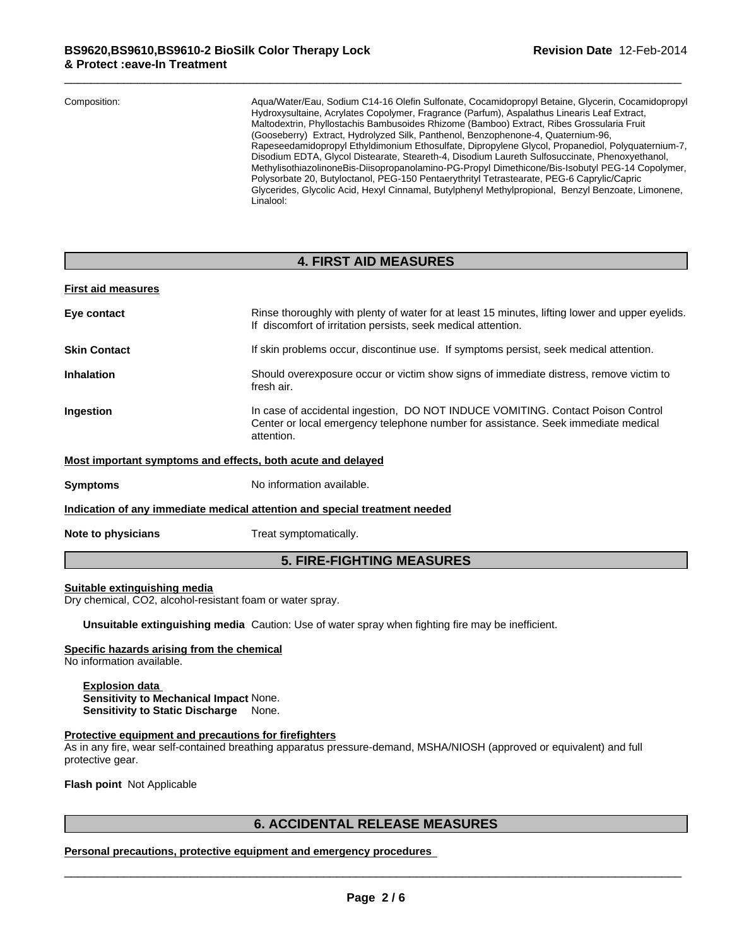| Composition: | Agua/Water/Eau, Sodium C14-16 Olefin Sulfonate, Cocamidopropyl Betaine, Glycerin, Cocamidopropyl<br>Hydroxysultaine, Acrylates Copolymer, Fragrance (Parfum), Aspalathus Linearis Leaf Extract, |
|--------------|-------------------------------------------------------------------------------------------------------------------------------------------------------------------------------------------------|
|              | Maltodextrin, Phyllostachis Bambusoides Rhizome (Bamboo) Extract, Ribes Grossularia Fruit                                                                                                       |
|              | (Gooseberry) Extract, Hydrolyzed Silk, Panthenol, Benzophenone-4, Quaternium-96,                                                                                                                |
|              | Rapeseedamidopropyl Ethyldimonium Ethosulfate, Dipropylene Glycol, Propanediol, Polyquaternium-7,                                                                                               |
|              | Disodium EDTA, Glycol Distearate, Steareth-4, Disodium Laureth Sulfosuccinate, Phenoxyethanol,                                                                                                  |
|              | MethylisothiazolinoneBis-Diisopropanolamino-PG-Propyl Dimethicone/Bis-Isobutyl PEG-14 Copolymer,                                                                                                |
|              | Polysorbate 20, Butyloctanol, PEG-150 Pentaerythrityl Tetrastearate, PEG-6 Caprylic/Capric                                                                                                      |
|              | Glycerides, Glycolic Acid, Hexyl Cinnamal, Butylphenyl Methylpropional, Benzyl Benzoate, Limonene,<br>Linalool:                                                                                 |

### **4. FIRST AID MEASURES**

#### **First aid measures**

| Eye contact                                                 | Rinse thoroughly with plenty of water for at least 15 minutes, lifting lower and upper eyelids.<br>If discomfort of irritation persists, seek medical attention.                   |
|-------------------------------------------------------------|------------------------------------------------------------------------------------------------------------------------------------------------------------------------------------|
| <b>Skin Contact</b>                                         | If skin problems occur, discontinue use. If symptoms persist, seek medical attention.                                                                                              |
| <b>Inhalation</b>                                           | Should overexposure occur or victim show signs of immediate distress, remove victim to<br>fresh air.                                                                               |
| <b>Ingestion</b>                                            | In case of accidental ingestion, DO NOT INDUCE VOMITING. Contact Poison Control<br>Center or local emergency telephone number for assistance. Seek immediate medical<br>attention. |
| Most important symptoms and effects, both acute and delayed |                                                                                                                                                                                    |
| <b>Symptoms</b>                                             | No information available.                                                                                                                                                          |
|                                                             | Indication of any immediate medical attention and special treatment needed                                                                                                         |
|                                                             |                                                                                                                                                                                    |

**Note to physicians** Treat symptomatically.

# **5. FIRE-FIGHTING MEASURES**

#### **Suitable extinguishing media**

Dry chemical, CO2, alcohol-resistant foam or water spray.

**Unsuitable extinguishing media** Caution: Use of water spray when fighting fire may be inefficient.

#### **Specific hazards arising from the chemical**

No information available.

**Explosion data Sensitivity to Mechanical Impact** None. **Sensitivity to Static Discharge** None.

#### **Protective equipment and precautions for firefighters**

As in any fire, wear self-contained breathing apparatus pressure-demand, MSHA/NIOSH (approved or equivalent) and full protective gear.

**Flash point** Not Applicable

\_\_\_\_\_\_\_\_\_\_\_\_\_\_\_\_\_\_\_\_\_\_\_\_\_\_\_\_\_\_\_\_\_\_\_\_\_\_\_\_\_\_\_\_\_\_\_\_\_\_\_\_\_\_\_\_\_\_\_\_\_\_\_\_\_\_\_\_\_\_\_\_\_\_\_\_\_\_\_\_\_\_\_\_\_\_\_\_\_\_\_\_\_ **6. ACCIDENTAL RELEASE MEASURES Personal precautions, protective equipment and emergency procedures**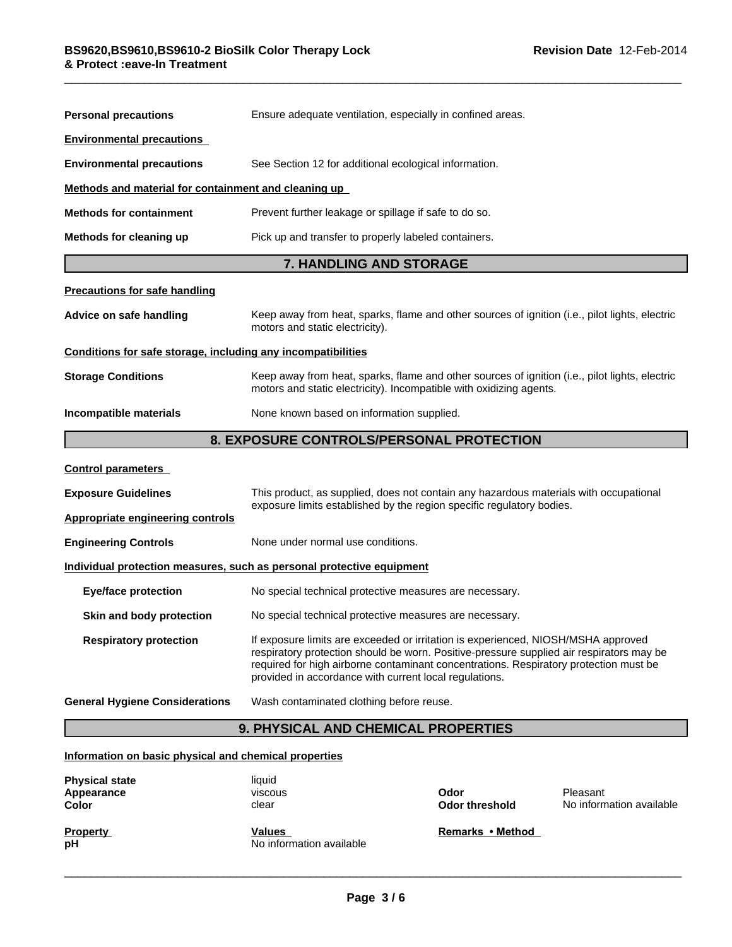| <b>Personal precautions</b>                                                                                                                                                                        | Ensure adequate ventilation, especially in confined areas.                                                                                                                                                                                                                                                                       |  |  |
|----------------------------------------------------------------------------------------------------------------------------------------------------------------------------------------------------|----------------------------------------------------------------------------------------------------------------------------------------------------------------------------------------------------------------------------------------------------------------------------------------------------------------------------------|--|--|
| <b>Environmental precautions</b>                                                                                                                                                                   |                                                                                                                                                                                                                                                                                                                                  |  |  |
| <b>Environmental precautions</b>                                                                                                                                                                   | See Section 12 for additional ecological information.                                                                                                                                                                                                                                                                            |  |  |
| Methods and material for containment and cleaning up                                                                                                                                               |                                                                                                                                                                                                                                                                                                                                  |  |  |
| Prevent further leakage or spillage if safe to do so.<br><b>Methods for containment</b><br>Pick up and transfer to properly labeled containers.<br>Methods for cleaning up                         |                                                                                                                                                                                                                                                                                                                                  |  |  |
|                                                                                                                                                                                                    |                                                                                                                                                                                                                                                                                                                                  |  |  |
| <b>Precautions for safe handling</b>                                                                                                                                                               |                                                                                                                                                                                                                                                                                                                                  |  |  |
| Advice on safe handling                                                                                                                                                                            | Keep away from heat, sparks, flame and other sources of ignition (i.e., pilot lights, electric<br>motors and static electricity).                                                                                                                                                                                                |  |  |
| Conditions for safe storage, including any incompatibilities                                                                                                                                       |                                                                                                                                                                                                                                                                                                                                  |  |  |
| <b>Storage Conditions</b><br>Keep away from heat, sparks, flame and other sources of ignition (i.e., pilot lights, electric<br>motors and static electricity). Incompatible with oxidizing agents. |                                                                                                                                                                                                                                                                                                                                  |  |  |
| Incompatible materials<br>None known based on information supplied.                                                                                                                                |                                                                                                                                                                                                                                                                                                                                  |  |  |
|                                                                                                                                                                                                    | 8. EXPOSURE CONTROLS/PERSONAL PROTECTION                                                                                                                                                                                                                                                                                         |  |  |
| <b>Control parameters</b>                                                                                                                                                                          |                                                                                                                                                                                                                                                                                                                                  |  |  |
| <b>Exposure Guidelines</b>                                                                                                                                                                         | This product, as supplied, does not contain any hazardous materials with occupational                                                                                                                                                                                                                                            |  |  |
| <b>Appropriate engineering controls</b>                                                                                                                                                            | exposure limits established by the region specific regulatory bodies.                                                                                                                                                                                                                                                            |  |  |
| <b>Engineering Controls</b>                                                                                                                                                                        | None under normal use conditions.                                                                                                                                                                                                                                                                                                |  |  |
|                                                                                                                                                                                                    | Individual protection measures, such as personal protective equipment                                                                                                                                                                                                                                                            |  |  |
| <b>Eye/face protection</b>                                                                                                                                                                         | No special technical protective measures are necessary.                                                                                                                                                                                                                                                                          |  |  |
| Skin and body protection                                                                                                                                                                           | No special technical protective measures are necessary.                                                                                                                                                                                                                                                                          |  |  |
| <b>Respiratory protection</b>                                                                                                                                                                      | If exposure limits are exceeded or irritation is experienced, NIOSH/MSHA approved<br>respiratory protection should be worn. Positive-pressure supplied air respirators may be<br>required for high airborne contaminant concentrations. Respiratory protection must be<br>provided in accordance with current local regulations. |  |  |

**General Hygiene Considerations** Wash contaminated clothing before reuse.

# **9. PHYSICAL AND CHEMICAL PROPERTIES**

#### **Information on basic physical and chemical properties**

| <b>Physical state</b><br>Appearance<br><b>Color</b> | liquid<br>viscous<br>clear                | Odor<br>Odor threshold | Pleasant<br>No information available |
|-----------------------------------------------------|-------------------------------------------|------------------------|--------------------------------------|
| <b>Property</b><br>рH                               | <b>Values</b><br>No information available | Remarks • Method       |                                      |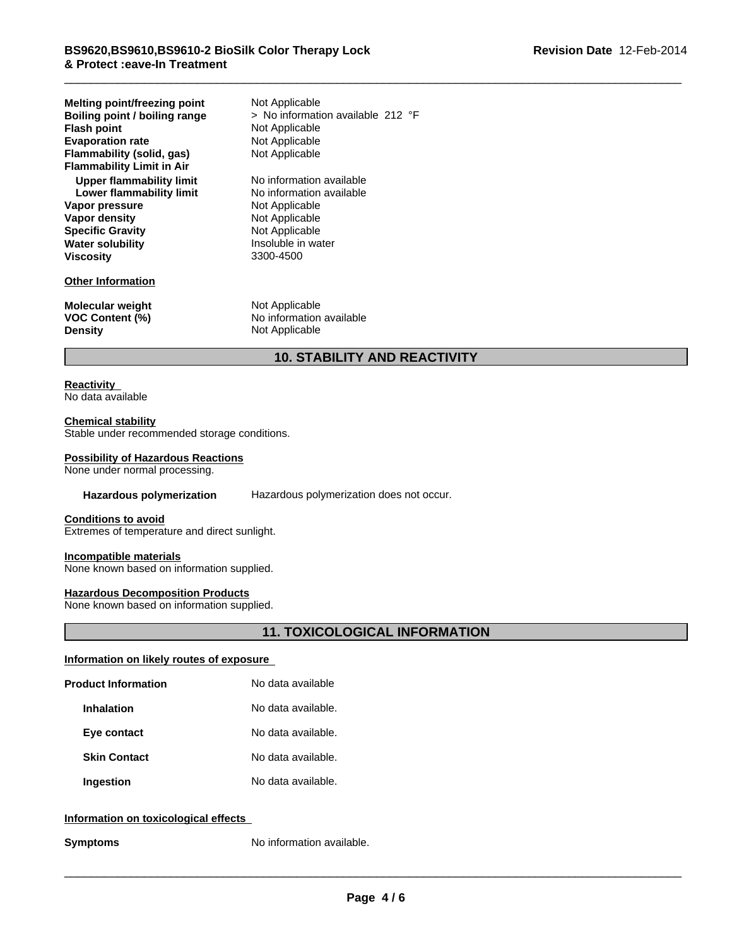| <b>Melting point/freezing point</b><br>Boiling point / boiling range<br><b>Flash point</b><br><b>Evaporation rate</b><br>Flammability (solid, gas)<br><b>Flammability Limit in Air</b> | Not Applicable<br>> No information available 212 °F<br>Not Applicable<br>Not Applicable<br>Not Applicable |
|----------------------------------------------------------------------------------------------------------------------------------------------------------------------------------------|-----------------------------------------------------------------------------------------------------------|
| Upper flammability limit                                                                                                                                                               | No information available                                                                                  |
| Lower flammability limit                                                                                                                                                               | No information available                                                                                  |
| Vapor pressure                                                                                                                                                                         | Not Applicable                                                                                            |
| Vapor density                                                                                                                                                                          | Not Applicable                                                                                            |
| <b>Specific Gravity</b>                                                                                                                                                                | Not Applicable                                                                                            |
| <b>Water solubility</b>                                                                                                                                                                | Insoluble in water                                                                                        |
| <b>Viscosity</b>                                                                                                                                                                       | 3300-4500                                                                                                 |
| <b>Other Information</b>                                                                                                                                                               |                                                                                                           |
| <b>Molecular weight</b>                                                                                                                                                                | Not Applicable                                                                                            |
| <b>VOC Content (%)</b>                                                                                                                                                                 | No information available                                                                                  |
| <b>Density</b>                                                                                                                                                                         | Not Applicable                                                                                            |

# **10. STABILITY AND REACTIVITY**

#### **Reactivity**  No data available

### **Chemical stability**

Stable under recommended storage conditions.

#### **Possibility of Hazardous Reactions**

None under normal processing.

**Hazardous polymerization** Hazardous polymerization does not occur.

#### **Conditions to avoid**

Extremes of temperature and direct sunlight.

#### **Incompatible materials**

None known based on information supplied.

#### **Hazardous Decomposition Products**

None known based on information supplied.

# **11. TOXICOLOGICAL INFORMATION**

#### **Information on likely routes of exposure**

| <b>Product Information</b> | No data available  |
|----------------------------|--------------------|
| <b>Inhalation</b>          | No data available. |
| Eye contact                | No data available. |
| <b>Skin Contact</b>        | No data available. |
| Ingestion                  | No data available. |

### **Information on toxicological effects**

**Symptoms** No information available.

 $\overline{\phantom{a}}$  ,  $\overline{\phantom{a}}$  ,  $\overline{\phantom{a}}$  ,  $\overline{\phantom{a}}$  ,  $\overline{\phantom{a}}$  ,  $\overline{\phantom{a}}$  ,  $\overline{\phantom{a}}$  ,  $\overline{\phantom{a}}$  ,  $\overline{\phantom{a}}$  ,  $\overline{\phantom{a}}$  ,  $\overline{\phantom{a}}$  ,  $\overline{\phantom{a}}$  ,  $\overline{\phantom{a}}$  ,  $\overline{\phantom{a}}$  ,  $\overline{\phantom{a}}$  ,  $\overline{\phantom{a}}$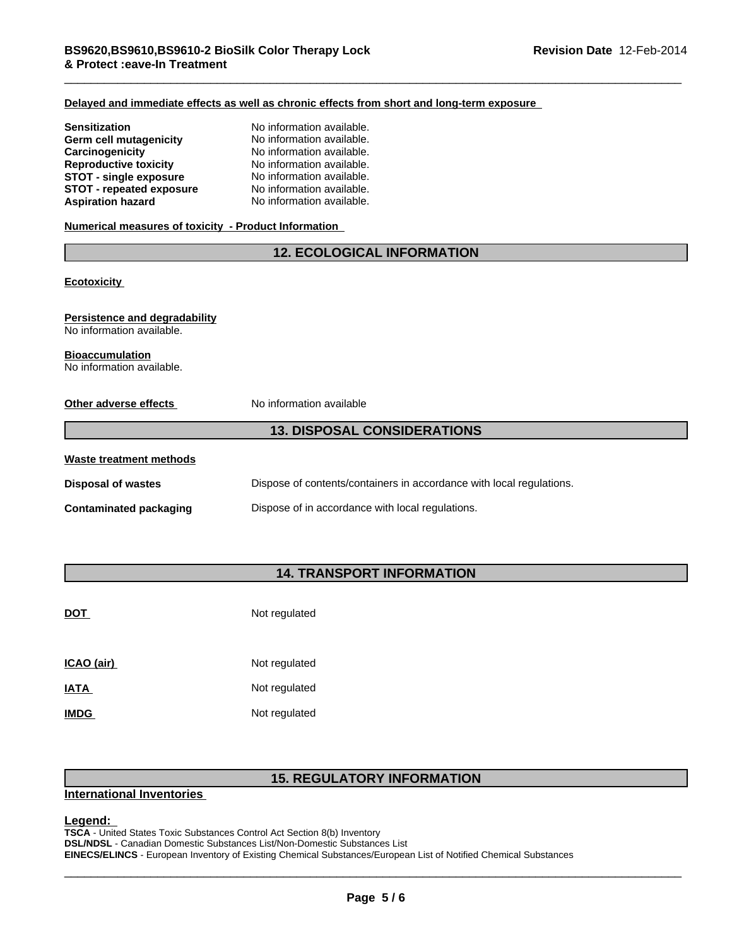#### **Delayed and immediate effects as well as chronic effects from short and long-term exposure**

| No information available. |
|---------------------------|
| No information available. |
| No information available. |
| No information available. |
| No information available. |
| No information available. |
| No information available. |
|                           |

### **Numerical measures of toxicity - Product Information**

## **12. ECOLOGICAL INFORMATION**

**Ecotoxicity** 

#### **Persistence and degradability** No information available.

### **Bioaccumulation**

No information available.

| Other adverse effects         | No information available                                             |
|-------------------------------|----------------------------------------------------------------------|
|                               | <b>13. DISPOSAL CONSIDERATIONS</b>                                   |
| Waste treatment methods       |                                                                      |
| <b>Disposal of wastes</b>     | Dispose of contents/containers in accordance with local regulations. |
| <b>Contaminated packaging</b> | Dispose of in accordance with local regulations.                     |

# **14. TRANSPORT INFORMATION**

| <u>DOT</u>  | Not regulated |
|-------------|---------------|
| ICAO (air)  | Not regulated |
| <b>IATA</b> | Not regulated |
| <b>IMDG</b> | Not regulated |

# **15. REGULATORY INFORMATION**

#### **International Inventories**

**Legend:**<br>TSCA - United States Toxic Substances Control Act Section 8(b) Inventory<br>DSL/NDSL - Canadian Domestic Substances List/Non-Domestic Substances List<br>EINECS/ELINCS - European Inventory of Existing Chemical Substance **TSCA** - United States Toxic Substances Control Act Section 8(b) Inventory **DSL/NDSL** - Canadian Domestic Substances List/Non-Domestic Substances List **EINECS/ELINCS** - European Inventory of Existing Chemical Substances/European List of Notified Chemical Substances